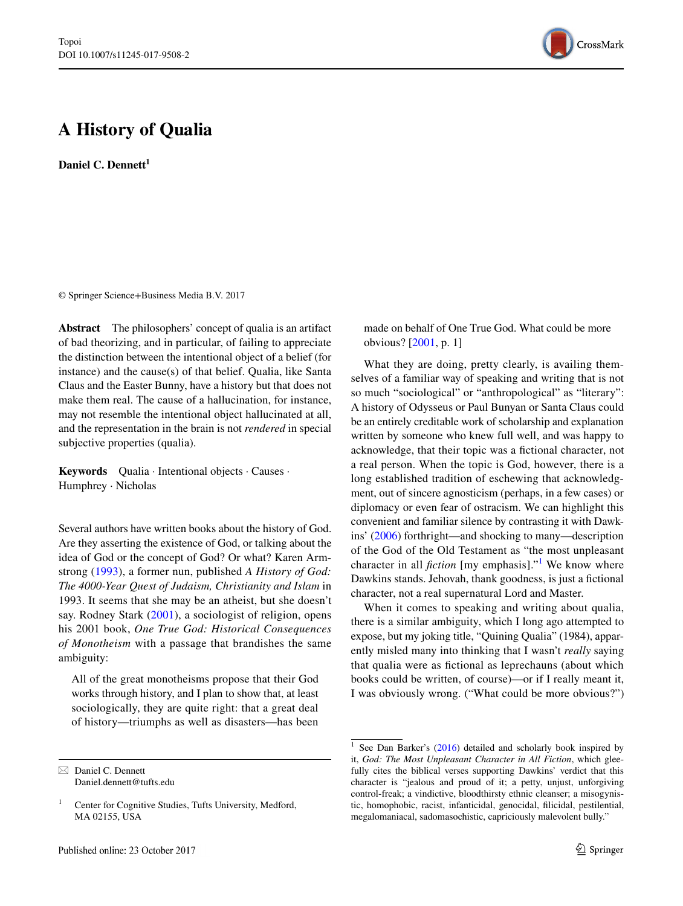

# **A History of Qualia**

**Daniel C. Dennett<sup>1</sup>**

© Springer Science+Business Media B.V. 2017

**Abstract** The philosophers' concept of qualia is an artifact of bad theorizing, and in particular, of failing to appreciate the distinction between the intentional object of a belief (for instance) and the cause(s) of that belief. Qualia, like Santa Claus and the Easter Bunny, have a history but that does not make them real. The cause of a hallucination, for instance, may not resemble the intentional object hallucinated at all, and the representation in the brain is not *rendered* in special subjective properties (qualia).

**Keywords** Qualia · Intentional objects · Causes · Humphrey · Nicholas

Several authors have written books about the history of God. Are they asserting the existence of God, or talking about the idea of God or the concept of God? Or what? Karen Armstrong ([1993](#page-7-2)), a former nun, published *A History of God: The 4000-Year Quest of Judaism, Christianity and Islam* in 1993. It seems that she may be an atheist, but she doesn't say. Rodney Stark ([2001](#page-7-0)), a sociologist of religion, opens his 2001 book, *One True God: Historical Consequences of Monotheism* with a passage that brandishes the same ambiguity:

All of the great monotheisms propose that their God works through history, and I plan to show that, at least sociologically, they are quite right: that a great deal of history—triumphs as well as disasters—has been

 $\boxtimes$  Daniel C. Dennett Daniel.dennett@tufts.edu made on behalf of One True God. What could be more obvious? [[2001,](#page-7-0) p. 1]

What they are doing, pretty clearly, is availing themselves of a familiar way of speaking and writing that is not so much "sociological" or "anthropological" as "literary": A history of Odysseus or Paul Bunyan or Santa Claus could be an entirely creditable work of scholarship and explanation written by someone who knew full well, and was happy to acknowledge, that their topic was a fictional character, not a real person. When the topic is God, however, there is a long established tradition of eschewing that acknowledgment, out of sincere agnosticism (perhaps, in a few cases) or diplomacy or even fear of ostracism. We can highlight this convenient and familiar silence by contrasting it with Dawkins' ([2006\)](#page-7-1) forthright—and shocking to many—description of the God of the Old Testament as "the most unpleasant character in all *fiction* [my emphasis]."[1](#page-0-0) We know where Dawkins stands. Jehovah, thank goodness, is just a fictional character, not a real supernatural Lord and Master.

When it comes to speaking and writing about qualia, there is a similar ambiguity, which I long ago attempted to expose, but my joking title, "Quining Qualia" (1984), apparently misled many into thinking that I wasn't *really* saying that qualia were as fictional as leprechauns (about which books could be written, of course)—or if I really meant it, I was obviously wrong. ("What could be more obvious?")

<sup>&</sup>lt;sup>1</sup> Center for Cognitive Studies, Tufts University, Medford, MA 02155, USA

<span id="page-0-0"></span><sup>&</sup>lt;sup>1</sup> See Dan Barker's [\(2016](#page-7-3)) detailed and scholarly book inspired by it, *God: The Most Unpleasant Character in All Fiction*, which gleefully cites the biblical verses supporting Dawkins' verdict that this character is "jealous and proud of it; a petty, unjust, unforgiving control-freak; a vindictive, bloodthirsty ethnic cleanser; a misogynistic, homophobic, racist, infanticidal, genocidal, filicidal, pestilential, megalomaniacal, sadomasochistic, capriciously malevolent bully."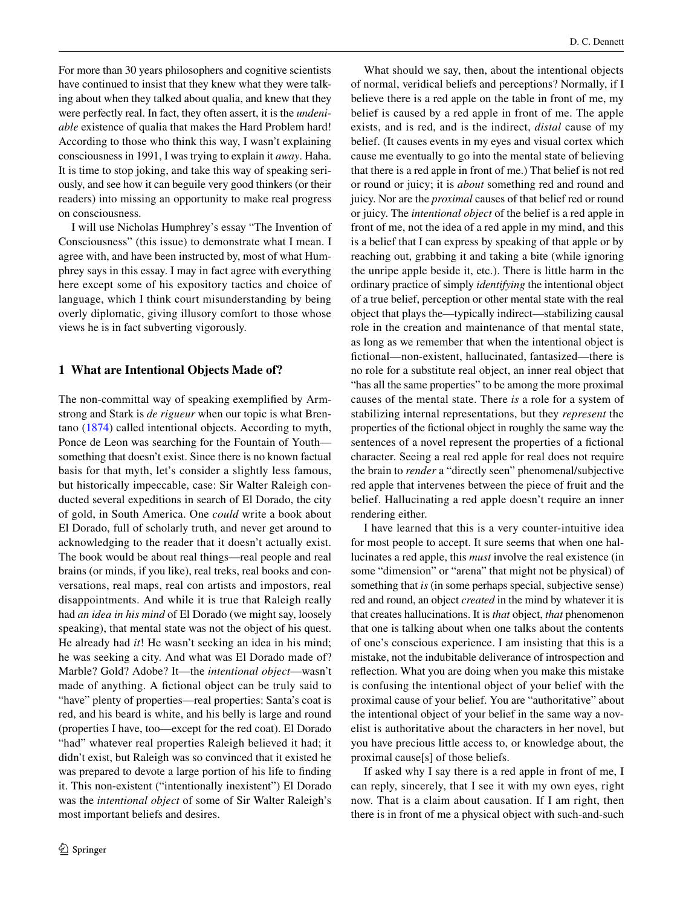For more than 30 years philosophers and cognitive scientists have continued to insist that they knew what they were talking about when they talked about qualia, and knew that they were perfectly real. In fact, they often assert, it is the *undeniable* existence of qualia that makes the Hard Problem hard! According to those who think this way, I wasn't explaining consciousness in 1991, I was trying to explain it *away*. Haha. It is time to stop joking, and take this way of speaking seriously, and see how it can beguile very good thinkers (or their readers) into missing an opportunity to make real progress on consciousness.

I will use Nicholas Humphrey's essay "The Invention of Consciousness" (this issue) to demonstrate what I mean. I agree with, and have been instructed by, most of what Humphrey says in this essay. I may in fact agree with everything here except some of his expository tactics and choice of language, which I think court misunderstanding by being overly diplomatic, giving illusory comfort to those whose views he is in fact subverting vigorously.

#### **1 What are Intentional Objects Made of?**

The non-committal way of speaking exemplified by Armstrong and Stark is *de rigueur* when our topic is what Brentano ([1874](#page-7-4)) called intentional objects. According to myth, Ponce de Leon was searching for the Fountain of Youth something that doesn't exist. Since there is no known factual basis for that myth, let's consider a slightly less famous, but historically impeccable, case: Sir Walter Raleigh conducted several expeditions in search of El Dorado, the city of gold, in South America. One *could* write a book about El Dorado, full of scholarly truth, and never get around to acknowledging to the reader that it doesn't actually exist. The book would be about real things—real people and real brains (or minds, if you like), real treks, real books and conversations, real maps, real con artists and impostors, real disappointments. And while it is true that Raleigh really had *an idea in his mind* of El Dorado (we might say, loosely speaking), that mental state was not the object of his quest. He already had *it*! He wasn't seeking an idea in his mind; he was seeking a city. And what was El Dorado made of? Marble? Gold? Adobe? It—the *intentional object*—wasn't made of anything. A fictional object can be truly said to "have" plenty of properties—real properties: Santa's coat is red, and his beard is white, and his belly is large and round (properties I have, too—except for the red coat). El Dorado "had" whatever real properties Raleigh believed it had; it didn't exist, but Raleigh was so convinced that it existed he was prepared to devote a large portion of his life to finding it. This non-existent ("intentionally inexistent") El Dorado was the *intentional object* of some of Sir Walter Raleigh's most important beliefs and desires.

What should we say, then, about the intentional objects of normal, veridical beliefs and perceptions? Normally, if I believe there is a red apple on the table in front of me, my belief is caused by a red apple in front of me. The apple exists, and is red, and is the indirect, *distal* cause of my belief. (It causes events in my eyes and visual cortex which cause me eventually to go into the mental state of believing that there is a red apple in front of me.) That belief is not red or round or juicy; it is *about* something red and round and juicy. Nor are the *proximal* causes of that belief red or round or juicy. The *intentional object* of the belief is a red apple in front of me, not the idea of a red apple in my mind, and this is a belief that I can express by speaking of that apple or by reaching out, grabbing it and taking a bite (while ignoring the unripe apple beside it, etc.). There is little harm in the ordinary practice of simply *identifying* the intentional object of a true belief, perception or other mental state with the real object that plays the—typically indirect—stabilizing causal role in the creation and maintenance of that mental state, as long as we remember that when the intentional object is fictional—non-existent, hallucinated, fantasized—there is no role for a substitute real object, an inner real object that "has all the same properties" to be among the more proximal causes of the mental state. There *is* a role for a system of stabilizing internal representations, but they *represent* the properties of the fictional object in roughly the same way the sentences of a novel represent the properties of a fictional character. Seeing a real red apple for real does not require the brain to *render* a "directly seen" phenomenal/subjective red apple that intervenes between the piece of fruit and the belief. Hallucinating a red apple doesn't require an inner rendering either.

I have learned that this is a very counter-intuitive idea for most people to accept. It sure seems that when one hallucinates a red apple, this *must* involve the real existence (in some "dimension" or "arena" that might not be physical) of something that *is* (in some perhaps special, subjective sense) red and round, an object *created* in the mind by whatever it is that creates hallucinations. It is *that* object, *that* phenomenon that one is talking about when one talks about the contents of one's conscious experience. I am insisting that this is a mistake, not the indubitable deliverance of introspection and reflection. What you are doing when you make this mistake is confusing the intentional object of your belief with the proximal cause of your belief. You are "authoritative" about the intentional object of your belief in the same way a novelist is authoritative about the characters in her novel, but you have precious little access to, or knowledge about, the proximal cause[s] of those beliefs.

If asked why I say there is a red apple in front of me, I can reply, sincerely, that I see it with my own eyes, right now. That is a claim about causation. If I am right, then there is in front of me a physical object with such-and-such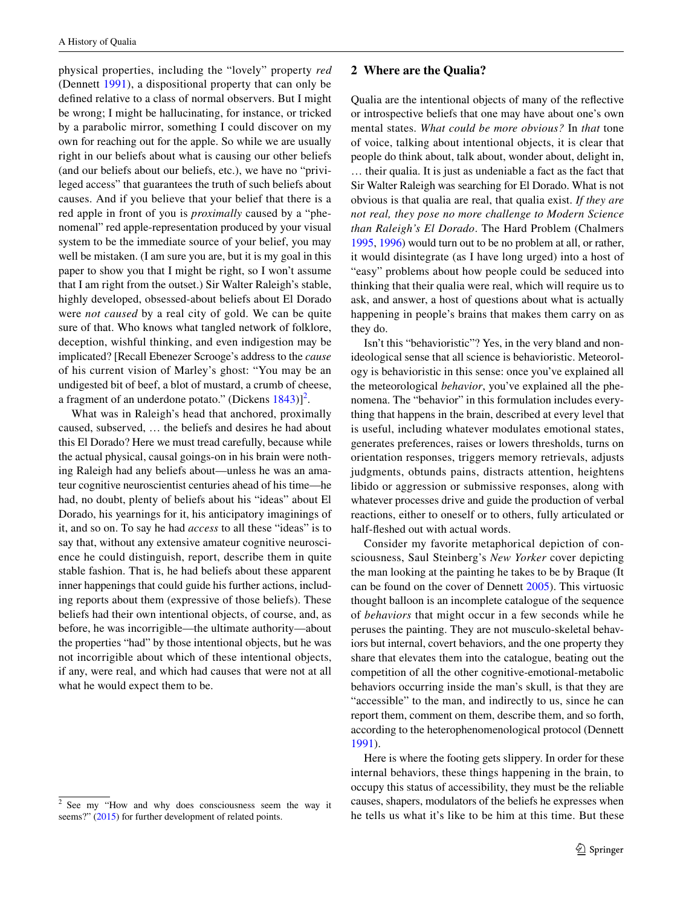physical properties, including the "lovely" property *red* (Dennett [1991\)](#page-7-5), a dispositional property that can only be defined relative to a class of normal observers. But I might be wrong; I might be hallucinating, for instance, or tricked by a parabolic mirror, something I could discover on my own for reaching out for the apple. So while we are usually right in our beliefs about what is causing our other beliefs (and our beliefs about our beliefs, etc.), we have no "privileged access" that guarantees the truth of such beliefs about causes. And if you believe that your belief that there is a red apple in front of you is *proximally* caused by a "phenomenal" red apple-representation produced by your visual system to be the immediate source of your belief, you may well be mistaken. (I am sure you are, but it is my goal in this paper to show you that I might be right, so I won't assume that I am right from the outset.) Sir Walter Raleigh's stable, highly developed, obsessed-about beliefs about El Dorado were *not caused* by a real city of gold. We can be quite sure of that. Who knows what tangled network of folklore, deception, wishful thinking, and even indigestion may be implicated? [Recall Ebenezer Scrooge's address to the *cause* of his current vision of Marley's ghost: "You may be an undigested bit of beef, a blot of mustard, a crumb of cheese, a fragment of an underdone potato." (Dickens  $1843$ )]<sup>[2](#page-2-0)</sup>.

What was in Raleigh's head that anchored, proximally caused, subserved, … the beliefs and desires he had about this El Dorado? Here we must tread carefully, because while the actual physical, causal goings-on in his brain were nothing Raleigh had any beliefs about—unless he was an amateur cognitive neuroscientist centuries ahead of his time—he had, no doubt, plenty of beliefs about his "ideas" about El Dorado, his yearnings for it, his anticipatory imaginings of it, and so on. To say he had *access* to all these "ideas" is to say that, without any extensive amateur cognitive neuroscience he could distinguish, report, describe them in quite stable fashion. That is, he had beliefs about these apparent inner happenings that could guide his further actions, including reports about them (expressive of those beliefs). These beliefs had their own intentional objects, of course, and, as before, he was incorrigible—the ultimate authority—about the properties "had" by those intentional objects, but he was not incorrigible about which of these intentional objects, if any, were real, and which had causes that were not at all what he would expect them to be.

### **2 Where are the Qualia?**

Qualia are the intentional objects of many of the reflective or introspective beliefs that one may have about one's own mental states. *What could be more obvious?* In *that* tone of voice, talking about intentional objects, it is clear that people do think about, talk about, wonder about, delight in, … their qualia. It is just as undeniable a fact as the fact that Sir Walter Raleigh was searching for El Dorado. What is not obvious is that qualia are real, that qualia exist. *If they are not real, they pose no more challenge to Modern Science than Raleigh's El Dorado*. The Hard Problem (Chalmers [1995,](#page-7-7) [1996](#page-7-8)) would turn out to be no problem at all, or rather, it would disintegrate (as I have long urged) into a host of "easy" problems about how people could be seduced into thinking that their qualia were real, which will require us to ask, and answer, a host of questions about what is actually happening in people's brains that makes them carry on as they do.

Isn't this "behavioristic"? Yes, in the very bland and nonideological sense that all science is behavioristic. Meteorology is behavioristic in this sense: once you've explained all the meteorological *behavior*, you've explained all the phenomena. The "behavior" in this formulation includes everything that happens in the brain, described at every level that is useful, including whatever modulates emotional states, generates preferences, raises or lowers thresholds, turns on orientation responses, triggers memory retrievals, adjusts judgments, obtunds pains, distracts attention, heightens libido or aggression or submissive responses, along with whatever processes drive and guide the production of verbal reactions, either to oneself or to others, fully articulated or half-fleshed out with actual words.

Consider my favorite metaphorical depiction of consciousness, Saul Steinberg's *New Yorker* cover depicting the man looking at the painting he takes to be by Braque (It can be found on the cover of Dennett [2005](#page-7-9)). This virtuosic thought balloon is an incomplete catalogue of the sequence of *behaviors* that might occur in a few seconds while he peruses the painting. They are not musculo-skeletal behaviors but internal, covert behaviors, and the one property they share that elevates them into the catalogue, beating out the competition of all the other cognitive-emotional-metabolic behaviors occurring inside the man's skull, is that they are "accessible" to the man, and indirectly to us, since he can report them, comment on them, describe them, and so forth, according to the heterophenomenological protocol (Dennett [1991](#page-7-5)).

Here is where the footing gets slippery. In order for these internal behaviors, these things happening in the brain, to occupy this status of accessibility, they must be the reliable causes, shapers, modulators of the beliefs he expresses when he tells us what it's like to be him at this time. But these

<span id="page-2-0"></span><sup>2</sup> See my "How and why does consciousness seem the way it seems?" [\(2015](#page-7-10)) for further development of related points.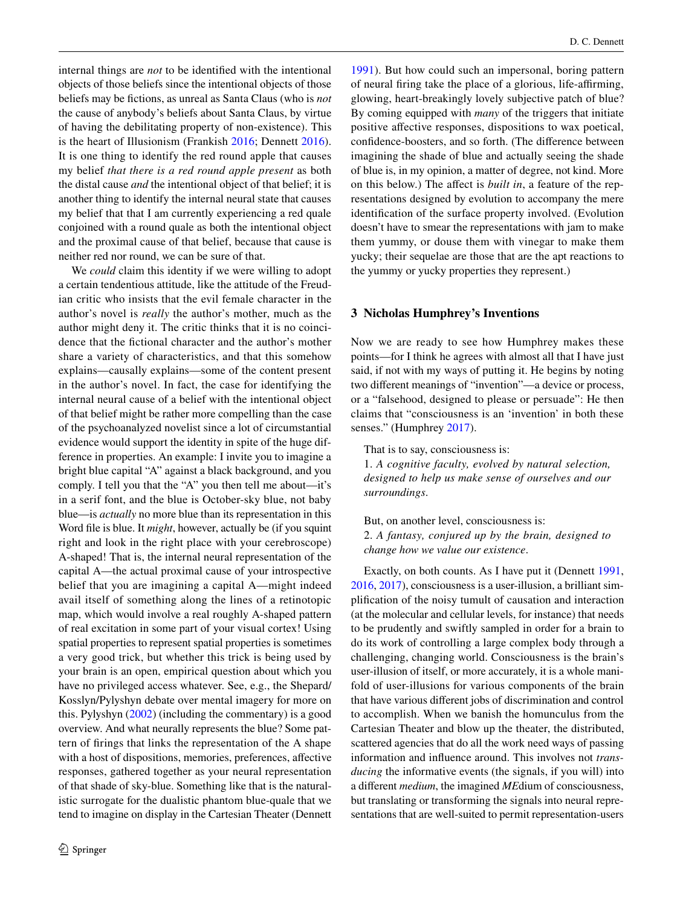internal things are *not* to be identified with the intentional objects of those beliefs since the intentional objects of those beliefs may be fictions, as unreal as Santa Claus (who is *not* the cause of anybody's beliefs about Santa Claus, by virtue of having the debilitating property of non-existence). This is the heart of Illusionism (Frankish [2016](#page-7-11); Dennett [2016](#page-7-12)). It is one thing to identify the red round apple that causes my belief *that there is a red round apple present* as both the distal cause *and* the intentional object of that belief; it is another thing to identify the internal neural state that causes my belief that that I am currently experiencing a red quale conjoined with a round quale as both the intentional object and the proximal cause of that belief, because that cause is neither red nor round, we can be sure of that.

We *could* claim this identity if we were willing to adopt a certain tendentious attitude, like the attitude of the Freudian critic who insists that the evil female character in the author's novel is *really* the author's mother, much as the author might deny it. The critic thinks that it is no coincidence that the fictional character and the author's mother share a variety of characteristics, and that this somehow explains—causally explains—some of the content present in the author's novel. In fact, the case for identifying the internal neural cause of a belief with the intentional object of that belief might be rather more compelling than the case of the psychoanalyzed novelist since a lot of circumstantial evidence would support the identity in spite of the huge difference in properties. An example: I invite you to imagine a bright blue capital "A" against a black background, and you comply. I tell you that the "A" you then tell me about—it's in a serif font, and the blue is October-sky blue, not baby blue—is *actually* no more blue than its representation in this Word file is blue. It *might*, however, actually be (if you squint right and look in the right place with your cerebroscope) A-shaped! That is, the internal neural representation of the capital A—the actual proximal cause of your introspective belief that you are imagining a capital A—might indeed avail itself of something along the lines of a retinotopic map, which would involve a real roughly A-shaped pattern of real excitation in some part of your visual cortex! Using spatial properties to represent spatial properties is sometimes a very good trick, but whether this trick is being used by your brain is an open, empirical question about which you have no privileged access whatever. See, e.g., the Shepard/ Kosslyn/Pylyshyn debate over mental imagery for more on this. Pylyshyn ([2002](#page-7-13)) (including the commentary) is a good overview. And what neurally represents the blue? Some pattern of firings that links the representation of the A shape with a host of dispositions, memories, preferences, affective responses, gathered together as your neural representation of that shade of sky-blue. Something like that is the naturalistic surrogate for the dualistic phantom blue-quale that we tend to imagine on display in the Cartesian Theater (Dennett

[1991\)](#page-7-5). But how could such an impersonal, boring pattern of neural firing take the place of a glorious, life-affirming, glowing, heart-breakingly lovely subjective patch of blue? By coming equipped with *many* of the triggers that initiate positive affective responses, dispositions to wax poetical, confidence-boosters, and so forth. (The difference between imagining the shade of blue and actually seeing the shade of blue is, in my opinion, a matter of degree, not kind. More on this below.) The affect is *built in*, a feature of the representations designed by evolution to accompany the mere identification of the surface property involved. (Evolution doesn't have to smear the representations with jam to make them yummy, or douse them with vinegar to make them yucky; their sequelae are those that are the apt reactions to the yummy or yucky properties they represent.)

# **3 Nicholas Humphrey's Inventions**

Now we are ready to see how Humphrey makes these points—for I think he agrees with almost all that I have just said, if not with my ways of putting it. He begins by noting two different meanings of "invention"—a device or process, or a "falsehood, designed to please or persuade": He then claims that "consciousness is an 'invention' in both these senses." (Humphrey [2017](#page-7-14)).

That is to say, consciousness is:

1. *A cognitive faculty, evolved by natural selection, designed to help us make sense of ourselves and our surroundings*.

But, on another level, consciousness is: 2. *A fantasy, conjured up by the brain, designed to change how we value our existence*.

Exactly, on both counts. As I have put it (Dennett [1991,](#page-7-5) [2016,](#page-7-12) [2017\)](#page-7-15), consciousness is a user-illusion, a brilliant simplification of the noisy tumult of causation and interaction (at the molecular and cellular levels, for instance) that needs to be prudently and swiftly sampled in order for a brain to do its work of controlling a large complex body through a challenging, changing world. Consciousness is the brain's user-illusion of itself, or more accurately, it is a whole manifold of user-illusions for various components of the brain that have various different jobs of discrimination and control to accomplish. When we banish the homunculus from the Cartesian Theater and blow up the theater, the distributed, scattered agencies that do all the work need ways of passing information and influence around. This involves not *transducing* the informative events (the signals, if you will) into a different *medium*, the imagined *ME*dium of consciousness, but translating or transforming the signals into neural representations that are well-suited to permit representation-users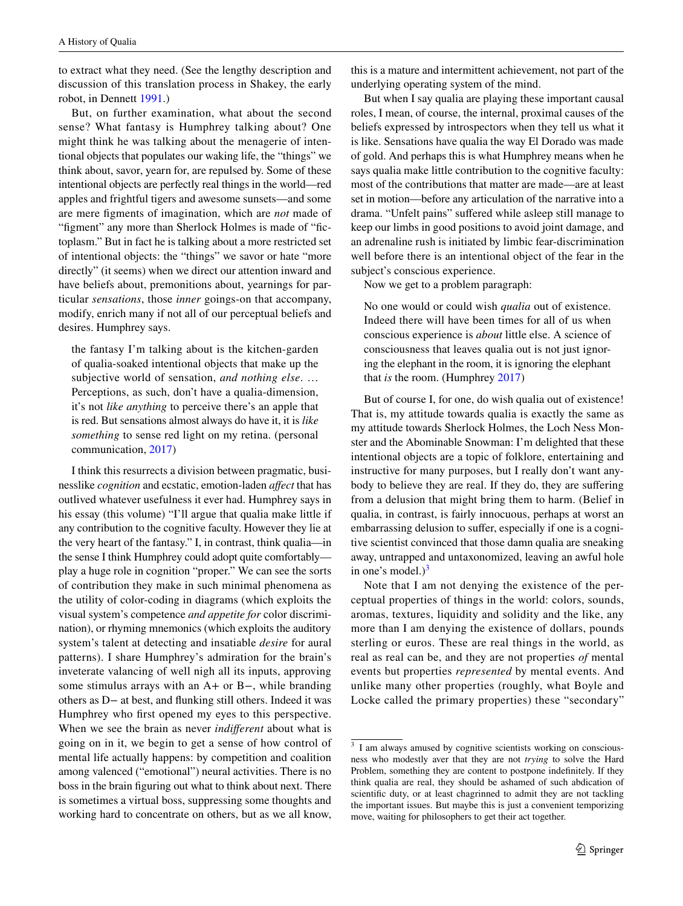to extract what they need. (See the lengthy description and discussion of this translation process in Shakey, the early robot, in Dennett [1991](#page-7-5).)

But, on further examination, what about the second sense? What fantasy is Humphrey talking about? One might think he was talking about the menagerie of intentional objects that populates our waking life, the "things" we think about, savor, yearn for, are repulsed by. Some of these intentional objects are perfectly real things in the world—red apples and frightful tigers and awesome sunsets—and some are mere figments of imagination, which are *not* made of "figment" any more than Sherlock Holmes is made of "fictoplasm." But in fact he is talking about a more restricted set of intentional objects: the "things" we savor or hate "more directly" (it seems) when we direct our attention inward and have beliefs about, premonitions about, yearnings for particular *sensations*, those *inner* goings-on that accompany, modify, enrich many if not all of our perceptual beliefs and desires. Humphrey says.

the fantasy I'm talking about is the kitchen-garden of qualia-soaked intentional objects that make up the subjective world of sensation, *and nothing else*. … Perceptions, as such, don't have a qualia-dimension, it's not *like anything* to perceive there's an apple that is red. But sensations almost always do have it, it is *like something* to sense red light on my retina. (personal communication, [2017](#page-7-14))

I think this resurrects a division between pragmatic, businesslike *cognition* and ecstatic, emotion-laden *affect* that has outlived whatever usefulness it ever had. Humphrey says in his essay (this volume) "I'll argue that qualia make little if any contribution to the cognitive faculty. However they lie at the very heart of the fantasy." I, in contrast, think qualia—in the sense I think Humphrey could adopt quite comfortably play a huge role in cognition "proper." We can see the sorts of contribution they make in such minimal phenomena as the utility of color-coding in diagrams (which exploits the visual system's competence *and appetite for* color discrimination), or rhyming mnemonics (which exploits the auditory system's talent at detecting and insatiable *desire* for aural patterns). I share Humphrey's admiration for the brain's inveterate valancing of well nigh all its inputs, approving some stimulus arrays with an A+ or B−, while branding others as D− at best, and flunking still others. Indeed it was Humphrey who first opened my eyes to this perspective. When we see the brain as never *indifferent* about what is going on in it, we begin to get a sense of how control of mental life actually happens: by competition and coalition among valenced ("emotional") neural activities. There is no boss in the brain figuring out what to think about next. There is sometimes a virtual boss, suppressing some thoughts and working hard to concentrate on others, but as we all know,

this is a mature and intermittent achievement, not part of the underlying operating system of the mind.

But when I say qualia are playing these important causal roles, I mean, of course, the internal, proximal causes of the beliefs expressed by introspectors when they tell us what it is like. Sensations have qualia the way El Dorado was made of gold. And perhaps this is what Humphrey means when he says qualia make little contribution to the cognitive faculty: most of the contributions that matter are made—are at least set in motion—before any articulation of the narrative into a drama. "Unfelt pains" suffered while asleep still manage to keep our limbs in good positions to avoid joint damage, and an adrenaline rush is initiated by limbic fear-discrimination well before there is an intentional object of the fear in the subject's conscious experience.

Now we get to a problem paragraph:

No one would or could wish *qualia* out of existence. Indeed there will have been times for all of us when conscious experience is *about* little else. A science of consciousness that leaves qualia out is not just ignoring the elephant in the room, it is ignoring the elephant that *is* the room. (Humphrey [2017](#page-7-14))

But of course I, for one, do wish qualia out of existence! That is, my attitude towards qualia is exactly the same as my attitude towards Sherlock Holmes, the Loch Ness Monster and the Abominable Snowman: I'm delighted that these intentional objects are a topic of folklore, entertaining and instructive for many purposes, but I really don't want anybody to believe they are real. If they do, they are suffering from a delusion that might bring them to harm. (Belief in qualia, in contrast, is fairly innocuous, perhaps at worst an embarrassing delusion to suffer, especially if one is a cognitive scientist convinced that those damn qualia are sneaking away, untrapped and untaxonomized, leaving an awful hole in one's model.) $3$ 

Note that I am not denying the existence of the perceptual properties of things in the world: colors, sounds, aromas, textures, liquidity and solidity and the like, any more than I am denying the existence of dollars, pounds sterling or euros. These are real things in the world, as real as real can be, and they are not properties *of* mental events but properties *represented* by mental events. And unlike many other properties (roughly, what Boyle and Locke called the primary properties) these "secondary"

<span id="page-4-0"></span><sup>&</sup>lt;sup>3</sup> I am always amused by cognitive scientists working on consciousness who modestly aver that they are not *trying* to solve the Hard Problem, something they are content to postpone indefinitely. If they think qualia are real, they should be ashamed of such abdication of scientific duty, or at least chagrinned to admit they are not tackling the important issues. But maybe this is just a convenient temporizing move, waiting for philosophers to get their act together.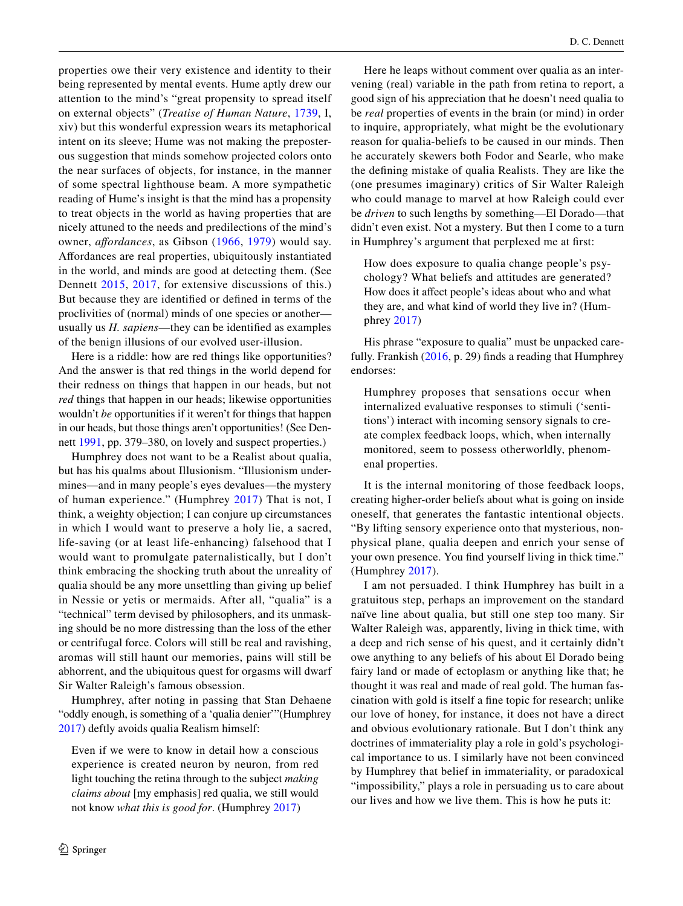properties owe their very existence and identity to their being represented by mental events. Hume aptly drew our attention to the mind's "great propensity to spread itself on external objects" (*Treatise of Human Nature*, [1739](#page-7-16), I, xiv) but this wonderful expression wears its metaphorical intent on its sleeve; Hume was not making the preposterous suggestion that minds somehow projected colors onto the near surfaces of objects, for instance, in the manner of some spectral lighthouse beam. A more sympathetic reading of Hume's insight is that the mind has a propensity to treat objects in the world as having properties that are nicely attuned to the needs and predilections of the mind's owner, *affordances*, as Gibson ([1966,](#page-7-17) [1979](#page-7-18)) would say. Affordances are real properties, ubiquitously instantiated in the world, and minds are good at detecting them. (See Dennett [2015](#page-7-10), [2017,](#page-7-15) for extensive discussions of this.) But because they are identified or defined in terms of the proclivities of (normal) minds of one species or another usually us *H. sapiens*—they can be identified as examples of the benign illusions of our evolved user-illusion.

Here is a riddle: how are red things like opportunities? And the answer is that red things in the world depend for their redness on things that happen in our heads, but not *red* things that happen in our heads; likewise opportunities wouldn't *be* opportunities if it weren't for things that happen in our heads, but those things aren't opportunities! (See Dennett [1991,](#page-7-5) pp. 379–380, on lovely and suspect properties.)

Humphrey does not want to be a Realist about qualia, but has his qualms about Illusionism. "Illusionism undermines—and in many people's eyes devalues—the mystery of human experience." (Humphrey [2017\)](#page-7-14) That is not, I think, a weighty objection; I can conjure up circumstances in which I would want to preserve a holy lie, a sacred, life-saving (or at least life-enhancing) falsehood that I would want to promulgate paternalistically, but I don't think embracing the shocking truth about the unreality of qualia should be any more unsettling than giving up belief in Nessie or yetis or mermaids. After all, "qualia" is a "technical" term devised by philosophers, and its unmasking should be no more distressing than the loss of the ether or centrifugal force. Colors will still be real and ravishing, aromas will still haunt our memories, pains will still be abhorrent, and the ubiquitous quest for orgasms will dwarf Sir Walter Raleigh's famous obsession.

Humphrey, after noting in passing that Stan Dehaene "oddly enough, is something of a 'qualia denier'"(Humphrey [2017](#page-7-14)) deftly avoids qualia Realism himself:

Even if we were to know in detail how a conscious experience is created neuron by neuron, from red light touching the retina through to the subject *making claims about* [my emphasis] red qualia, we still would not know *what this is good for*. (Humphrey [2017\)](#page-7-14)

Here he leaps without comment over qualia as an intervening (real) variable in the path from retina to report, a good sign of his appreciation that he doesn't need qualia to be *real* properties of events in the brain (or mind) in order to inquire, appropriately, what might be the evolutionary reason for qualia-beliefs to be caused in our minds. Then he accurately skewers both Fodor and Searle, who make the defining mistake of qualia Realists. They are like the (one presumes imaginary) critics of Sir Walter Raleigh who could manage to marvel at how Raleigh could ever be *driven* to such lengths by something—El Dorado—that didn't even exist. Not a mystery. But then I come to a turn in Humphrey's argument that perplexed me at first:

How does exposure to qualia change people's psychology? What beliefs and attitudes are generated? How does it affect people's ideas about who and what they are, and what kind of world they live in? (Humphrey [2017](#page-7-14))

His phrase "exposure to qualia" must be unpacked carefully. Frankish ([2016,](#page-7-11) p. 29) finds a reading that Humphrey endorses:

Humphrey proposes that sensations occur when internalized evaluative responses to stimuli ('sentitions') interact with incoming sensory signals to create complex feedback loops, which, when internally monitored, seem to possess otherworldly, phenomenal properties.

It is the internal monitoring of those feedback loops, creating higher-order beliefs about what is going on inside oneself, that generates the fantastic intentional objects. "By lifting sensory experience onto that mysterious, nonphysical plane, qualia deepen and enrich your sense of your own presence. You find yourself living in thick time." (Humphrey [2017](#page-7-14)).

I am not persuaded. I think Humphrey has built in a gratuitous step, perhaps an improvement on the standard naïve line about qualia, but still one step too many. Sir Walter Raleigh was, apparently, living in thick time, with a deep and rich sense of his quest, and it certainly didn't owe anything to any beliefs of his about El Dorado being fairy land or made of ectoplasm or anything like that; he thought it was real and made of real gold. The human fascination with gold is itself a fine topic for research; unlike our love of honey, for instance, it does not have a direct and obvious evolutionary rationale. But I don't think any doctrines of immateriality play a role in gold's psychological importance to us. I similarly have not been convinced by Humphrey that belief in immateriality, or paradoxical "impossibility," plays a role in persuading us to care about our lives and how we live them. This is how he puts it: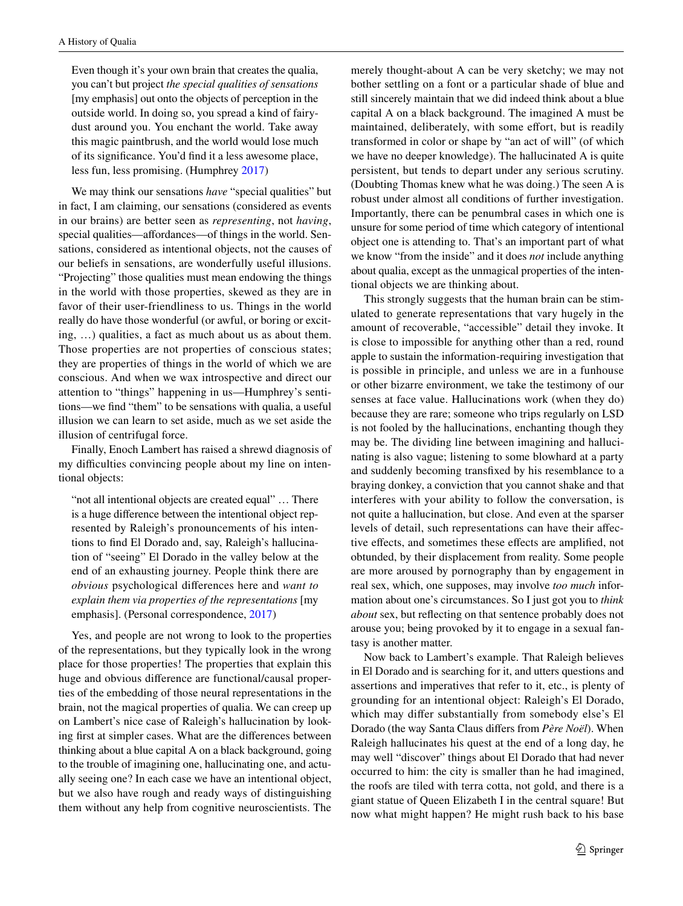Even though it's your own brain that creates the qualia, you can't but project *the special qualities of sensations* [my emphasis] out onto the objects of perception in the outside world. In doing so, you spread a kind of fairydust around you. You enchant the world. Take away this magic paintbrush, and the world would lose much of its significance. You'd find it a less awesome place, less fun, less promising. (Humphrey [2017\)](#page-7-14)

We may think our sensations *have* "special qualities" but in fact, I am claiming, our sensations (considered as events in our brains) are better seen as *representing*, not *having*, special qualities—affordances—of things in the world. Sensations, considered as intentional objects, not the causes of our beliefs in sensations, are wonderfully useful illusions. "Projecting" those qualities must mean endowing the things in the world with those properties, skewed as they are in favor of their user-friendliness to us. Things in the world really do have those wonderful (or awful, or boring or exciting, …) qualities, a fact as much about us as about them. Those properties are not properties of conscious states; they are properties of things in the world of which we are conscious. And when we wax introspective and direct our attention to "things" happening in us—Humphrey's sentitions—we find "them" to be sensations with qualia, a useful illusion we can learn to set aside, much as we set aside the illusion of centrifugal force.

Finally, Enoch Lambert has raised a shrewd diagnosis of my difficulties convincing people about my line on intentional objects:

"not all intentional objects are created equal" … There is a huge difference between the intentional object represented by Raleigh's pronouncements of his intentions to find El Dorado and, say, Raleigh's hallucination of "seeing" El Dorado in the valley below at the end of an exhausting journey. People think there are *obvious* psychological differences here and *want to explain them via properties of the representations* [my emphasis]. (Personal correspondence, [2017\)](#page-7-14)

Yes, and people are not wrong to look to the properties of the representations, but they typically look in the wrong place for those properties! The properties that explain this huge and obvious difference are functional/causal properties of the embedding of those neural representations in the brain, not the magical properties of qualia. We can creep up on Lambert's nice case of Raleigh's hallucination by looking first at simpler cases. What are the differences between thinking about a blue capital A on a black background, going to the trouble of imagining one, hallucinating one, and actually seeing one? In each case we have an intentional object, but we also have rough and ready ways of distinguishing them without any help from cognitive neuroscientists. The

merely thought-about A can be very sketchy; we may not bother settling on a font or a particular shade of blue and still sincerely maintain that we did indeed think about a blue capital A on a black background. The imagined A must be maintained, deliberately, with some effort, but is readily transformed in color or shape by "an act of will" (of which we have no deeper knowledge). The hallucinated A is quite persistent, but tends to depart under any serious scrutiny. (Doubting Thomas knew what he was doing.) The seen A is robust under almost all conditions of further investigation. Importantly, there can be penumbral cases in which one is unsure for some period of time which category of intentional object one is attending to. That's an important part of what we know "from the inside" and it does *not* include anything about qualia, except as the unmagical properties of the intentional objects we are thinking about.

This strongly suggests that the human brain can be stimulated to generate representations that vary hugely in the amount of recoverable, "accessible" detail they invoke. It is close to impossible for anything other than a red, round apple to sustain the information-requiring investigation that is possible in principle, and unless we are in a funhouse or other bizarre environment, we take the testimony of our senses at face value. Hallucinations work (when they do) because they are rare; someone who trips regularly on LSD is not fooled by the hallucinations, enchanting though they may be. The dividing line between imagining and hallucinating is also vague; listening to some blowhard at a party and suddenly becoming transfixed by his resemblance to a braying donkey, a conviction that you cannot shake and that interferes with your ability to follow the conversation, is not quite a hallucination, but close. And even at the sparser levels of detail, such representations can have their affective effects, and sometimes these effects are amplified, not obtunded, by their displacement from reality. Some people are more aroused by pornography than by engagement in real sex, which, one supposes, may involve *too much* information about one's circumstances. So I just got you to *think about* sex, but reflecting on that sentence probably does not arouse you; being provoked by it to engage in a sexual fantasy is another matter.

Now back to Lambert's example. That Raleigh believes in El Dorado and is searching for it, and utters questions and assertions and imperatives that refer to it, etc., is plenty of grounding for an intentional object: Raleigh's El Dorado, which may differ substantially from somebody else's El Dorado (the way Santa Claus differs from *Père Noël*). When Raleigh hallucinates his quest at the end of a long day, he may well "discover" things about El Dorado that had never occurred to him: the city is smaller than he had imagined, the roofs are tiled with terra cotta, not gold, and there is a giant statue of Queen Elizabeth I in the central square! But now what might happen? He might rush back to his base